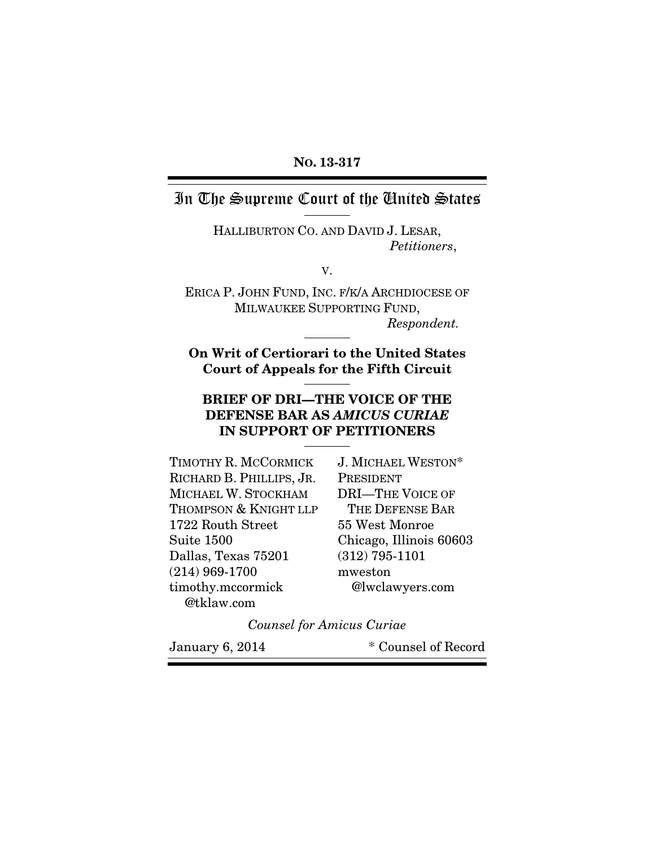#### NO. 13-317

# In The Supreme Court of the United States

HALLIBURTON CO. AND DAVID J. LESAR, *Petitioners*,

V.

ERICA P. JOHN FUND, INC. F/K/A ARCHDIOCESE OF MILWAUKEE SUPPORTING FUND, *Respondent.* 

On Writ of Certiorari to the United States Court of Appeals for the Fifth Circuit

#### BRIEF OF DRI—THE VOICE OF THE DEFENSE BAR AS *AMICUS CURIAE* IN SUPPORT OF PETITIONERS

| TIMOTHY R. MCCORMICK     | J. MICHAEL WESTON*      |
|--------------------------|-------------------------|
| RICHARD B. PHILLIPS, JR. | PRESIDENT               |
| MICHAEL W. STOCKHAM      | <b>DRI-THE VOICE OF</b> |
| THOMPSON & KNIGHT LLP    | THE DEFENSE BAR         |
| 1722 Routh Street        | 55 West Monroe          |
| <b>Suite 1500</b>        | Chicago, Illinois 60603 |
| Dallas, Texas 75201      | $(312)$ 795-1101        |
| $(214)$ 969-1700         | mweston                 |
| timothy.mccormick        | @lwclawyers.com         |
| @tklaw.com               |                         |

*Counsel for Amicus Curiae* 

January 6, 2014 \* Counsel of Record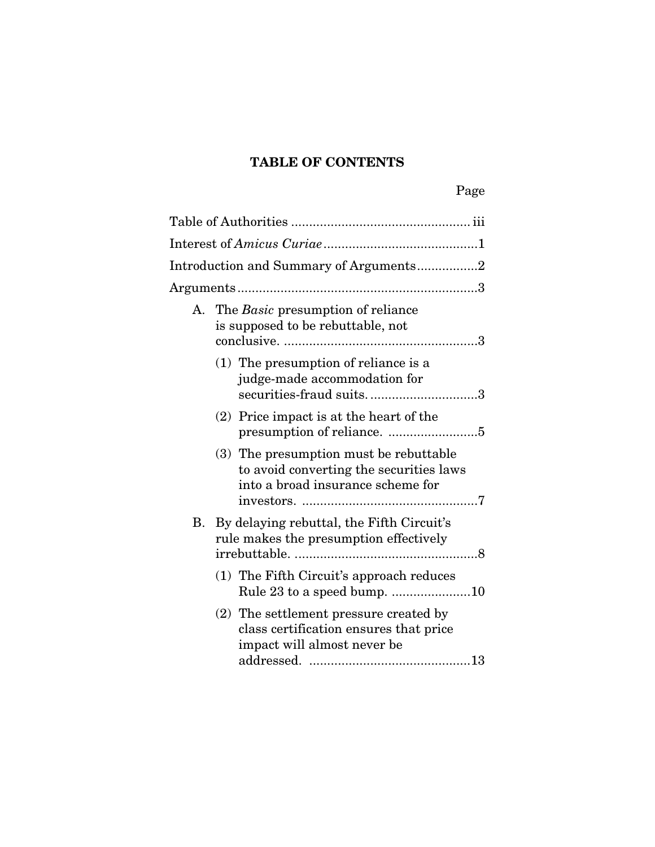# TABLE OF CONTENTS

|    | Introduction and Summary of Arguments2                                                                                 |
|----|------------------------------------------------------------------------------------------------------------------------|
|    |                                                                                                                        |
|    | A. The Basic presumption of reliance<br>is supposed to be rebuttable, not                                              |
|    | $(1)$ The presumption of reliance is a<br>judge-made accommodation for<br>securities-fraud suits3                      |
|    | $(2)$ Price impact is at the heart of the                                                                              |
|    | (3) The presumption must be rebuttable<br>to avoid converting the securities laws<br>into a broad insurance scheme for |
| В. | By delaying rebuttal, the Fifth Circuit's<br>rule makes the presumption effectively                                    |
|    | (1) The Fifth Circuit's approach reduces                                                                               |
|    | (2) The settlement pressure created by<br>class certification ensures that price<br>impact will almost never be        |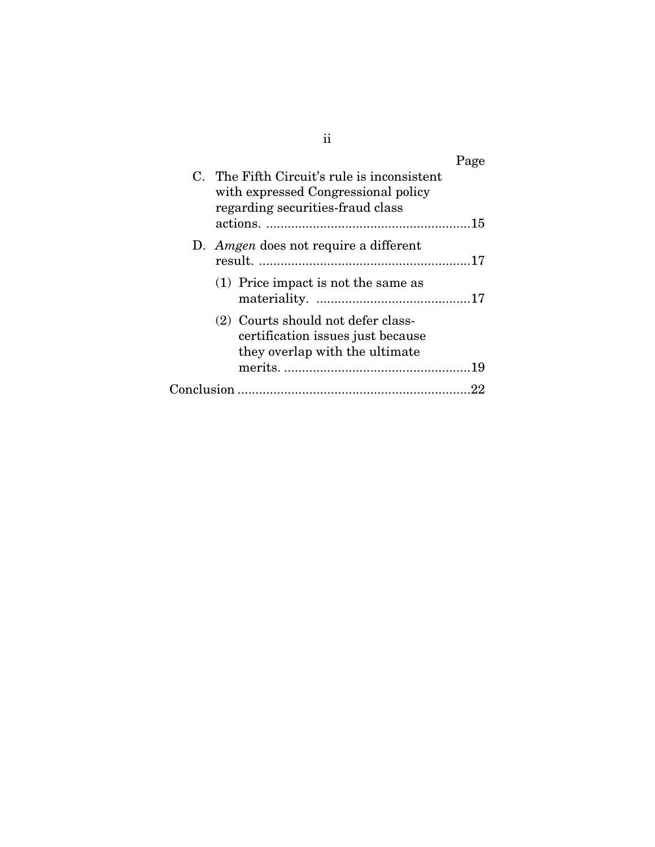|            | C. The Fifth Circuit's rule is inconsistent<br>with expressed Congressional policy<br>regarding securities-fraud class | Page |
|------------|------------------------------------------------------------------------------------------------------------------------|------|
|            |                                                                                                                        |      |
|            | D. <i>Amgen</i> does not require a different                                                                           |      |
|            | $(1)$ Price impact is not the same as                                                                                  |      |
|            | (2) Courts should not defer class-<br>certification issues just because<br>they overlap with the ultimate              |      |
|            |                                                                                                                        |      |
| Conclusion |                                                                                                                        |      |

ii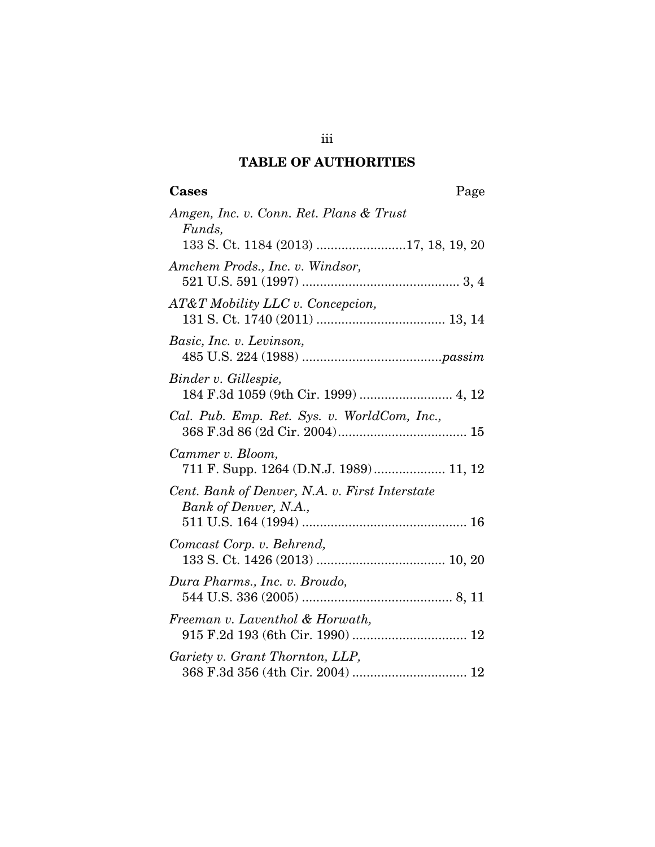# TABLE OF AUTHORITIES

iii

| Amgen, Inc. v. Conn. Ret. Plans & Trust<br>Funds,                       |
|-------------------------------------------------------------------------|
|                                                                         |
| Amchem Prods., Inc. v. Windsor,                                         |
| AT&T Mobility LLC v. Concepcion,                                        |
| Basic, Inc. v. Levinson,                                                |
| Binder v. Gillespie,<br>184 F.3d 1059 (9th Cir. 1999)  4, 12            |
| Cal. Pub. Emp. Ret. Sys. v. WorldCom, Inc.,                             |
| Cammer v. Bloom,<br>711 F. Supp. 1264 (D.N.J. 1989) 11, 12              |
| Cent. Bank of Denver, N.A. v. First Interstate<br>Bank of Denver, N.A., |
|                                                                         |
| Comcast Corp. v. Behrend,                                               |
| Dura Pharms., Inc. v. Broudo,                                           |
| Freeman v. Laventhol & Horwath,                                         |
| Gariety v. Grant Thornton, LLP,                                         |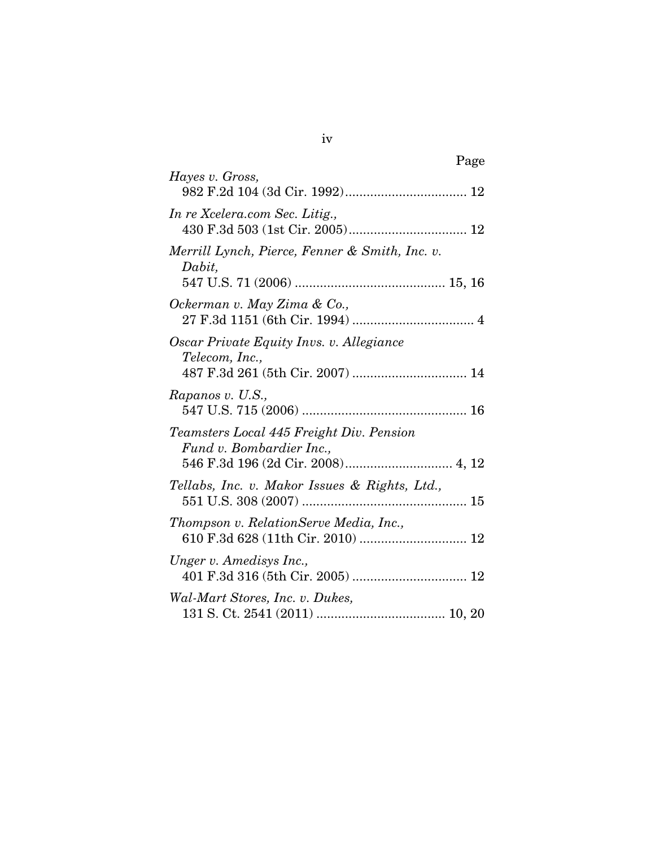| Page                                                                                                      |
|-----------------------------------------------------------------------------------------------------------|
| Hayes v. Gross,                                                                                           |
| In re Xcelera.com Sec. Litig.,                                                                            |
| Merrill Lynch, Pierce, Fenner & Smith, Inc. v.<br>Dabit,                                                  |
| Ockerman v. May Zima & Co.,                                                                               |
| Oscar Private Equity Invs. v. Allegiance<br>Telecom, Inc.,<br>487 F.3d 261 (5th Cir. 2007)  14            |
| Rapanos v. U.S.,                                                                                          |
| Teamsters Local 445 Freight Div. Pension<br>Fund v. Bombardier Inc.,<br>546 F.3d 196 (2d Cir. 2008) 4, 12 |
| Tellabs, Inc. v. Makor Issues & Rights, Ltd.,                                                             |
| Thompson v. RelationServe Media, Inc.,<br>610 F.3d 628 (11th Cir. 2010)  12                               |
| Unger v. Amedisys Inc.,                                                                                   |
| Wal-Mart Stores, Inc. v. Dukes,                                                                           |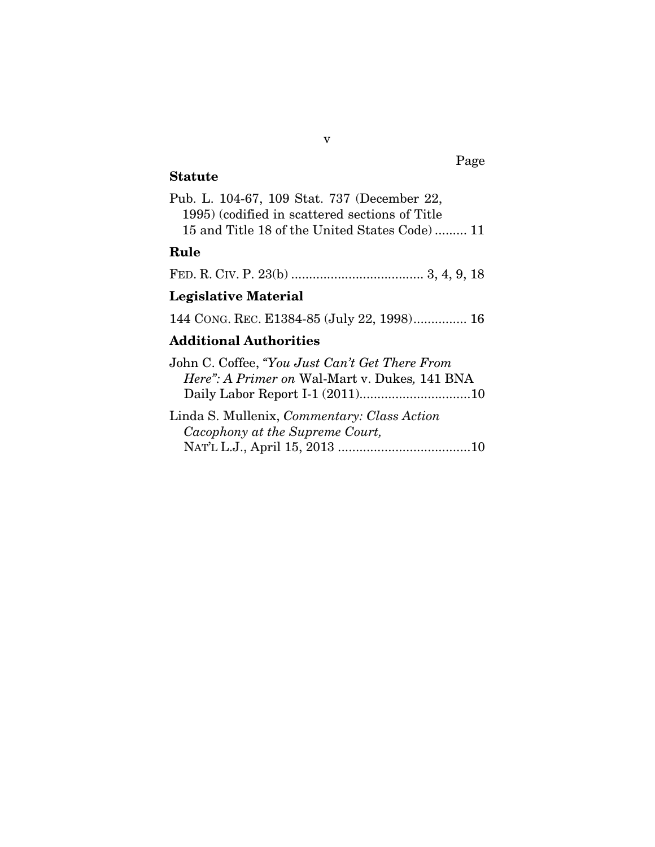# Statute

| Pub. L. 104-67, 109 Stat. 737 (December 22,    |  |
|------------------------------------------------|--|
| 1995) (codified in scattered sections of Title |  |
| 15 and Title 18 of the United States Code) 11  |  |

v

# Rule

FED. R. CIV. P. 23(b) ..................................... 3, 4, 9, 18

# Legislative Material

144 CONG. REC. E1384-85 (July 22, 1998) ............... 16

# Additional Authorities

Page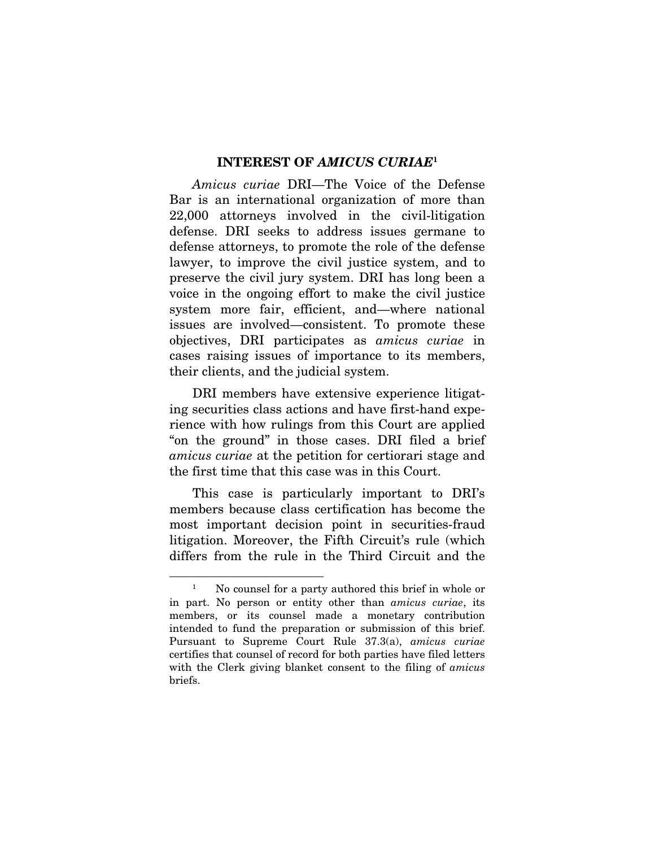#### INTEREST OF *AMICUS CURIAE*<sup>1</sup>

*Amicus curiae* DRI—The Voice of the Defense Bar is an international organization of more than 22,000 attorneys involved in the civil-litigation defense. DRI seeks to address issues germane to defense attorneys, to promote the role of the defense lawyer, to improve the civil justice system, and to preserve the civil jury system. DRI has long been a voice in the ongoing effort to make the civil justice system more fair, efficient, and—where national issues are involved—consistent. To promote these objectives, DRI participates as *amicus curiae* in cases raising issues of importance to its members, their clients, and the judicial system.

DRI members have extensive experience litigating securities class actions and have first-hand experience with how rulings from this Court are applied "on the ground" in those cases. DRI filed a brief *amicus curiae* at the petition for certiorari stage and the first time that this case was in this Court.

This case is particularly important to DRI's members because class certification has become the most important decision point in securities-fraud litigation. Moreover, the Fifth Circuit's rule (which differs from the rule in the Third Circuit and the

<sup>1</sup> No counsel for a party authored this brief in whole or in part. No person or entity other than *amicus curiae*, its members, or its counsel made a monetary contribution intended to fund the preparation or submission of this brief. Pursuant to Supreme Court Rule 37.3(a), *amicus curiae*  certifies that counsel of record for both parties have filed letters with the Clerk giving blanket consent to the filing of *amicus*  briefs.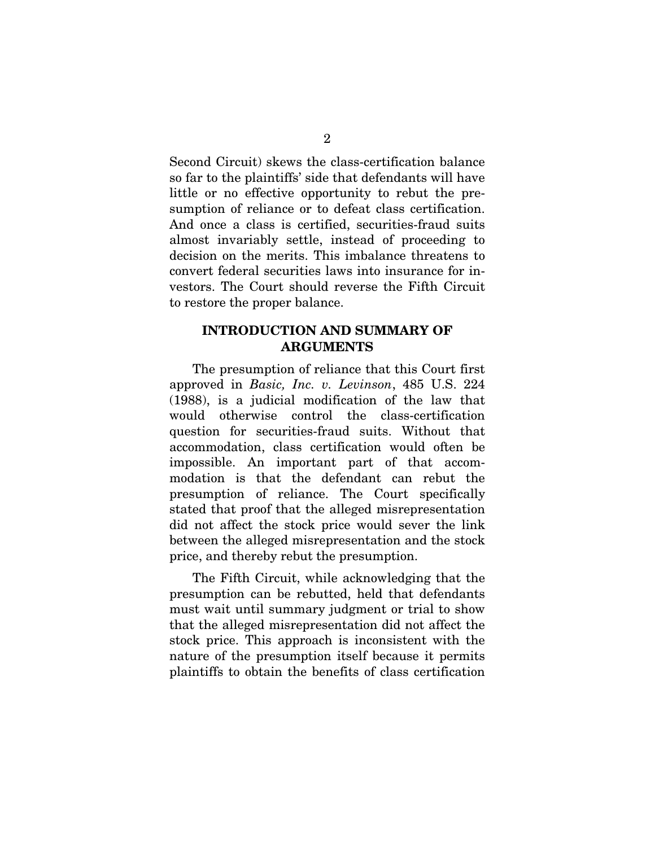Second Circuit) skews the class-certification balance so far to the plaintiffs' side that defendants will have little or no effective opportunity to rebut the presumption of reliance or to defeat class certification. And once a class is certified, securities-fraud suits almost invariably settle, instead of proceeding to decision on the merits. This imbalance threatens to convert federal securities laws into insurance for investors. The Court should reverse the Fifth Circuit to restore the proper balance.

#### INTRODUCTION AND SUMMARY OF ARGUMENTS

The presumption of reliance that this Court first approved in *Basic, Inc. v. Levinson*, 485 U.S. 224 (1988), is a judicial modification of the law that would otherwise control the class-certification question for securities-fraud suits. Without that accommodation, class certification would often be impossible. An important part of that accommodation is that the defendant can rebut the presumption of reliance. The Court specifically stated that proof that the alleged misrepresentation did not affect the stock price would sever the link between the alleged misrepresentation and the stock price, and thereby rebut the presumption.

The Fifth Circuit, while acknowledging that the presumption can be rebutted, held that defendants must wait until summary judgment or trial to show that the alleged misrepresentation did not affect the stock price. This approach is inconsistent with the nature of the presumption itself because it permits plaintiffs to obtain the benefits of class certification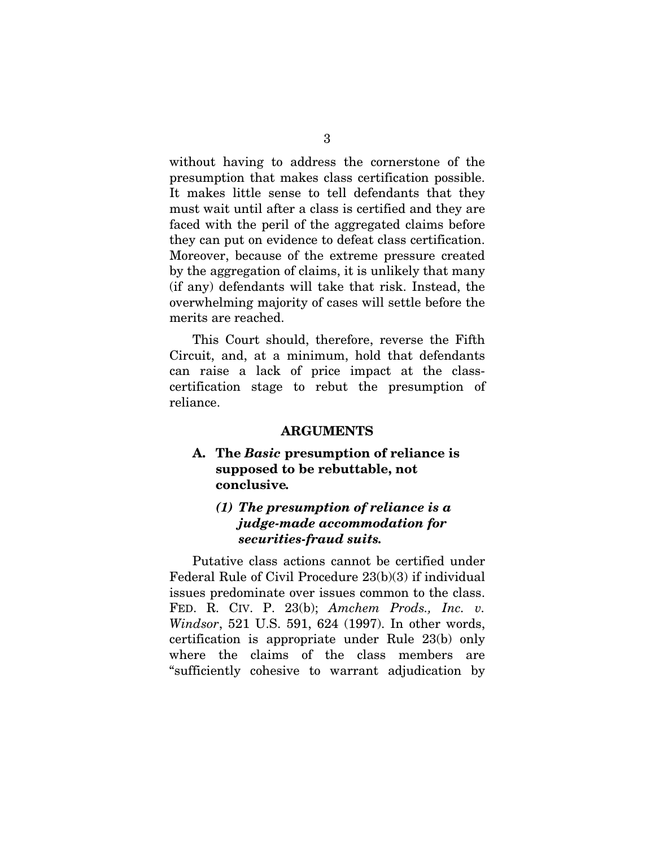without having to address the cornerstone of the presumption that makes class certification possible. It makes little sense to tell defendants that they must wait until after a class is certified and they are faced with the peril of the aggregated claims before they can put on evidence to defeat class certification. Moreover, because of the extreme pressure created by the aggregation of claims, it is unlikely that many (if any) defendants will take that risk. Instead, the overwhelming majority of cases will settle before the merits are reached.

This Court should, therefore, reverse the Fifth Circuit, and, at a minimum, hold that defendants can raise a lack of price impact at the classcertification stage to rebut the presumption of reliance.

#### ARGUMENTS

#### A. The *Basic* presumption of reliance is supposed to be rebuttable, not conclusive*.*

#### *(1) The presumption of reliance is a judge-made accommodation for securities-fraud suits.*

Putative class actions cannot be certified under Federal Rule of Civil Procedure 23(b)(3) if individual issues predominate over issues common to the class. FED. R. CIV. P. 23(b); *Amchem Prods.*, *Inc. v. Windsor*, 521 U.S. 591, 624 (1997). In other words, certification is appropriate under Rule 23(b) only where the claims of the class members are "sufficiently cohesive to warrant adjudication by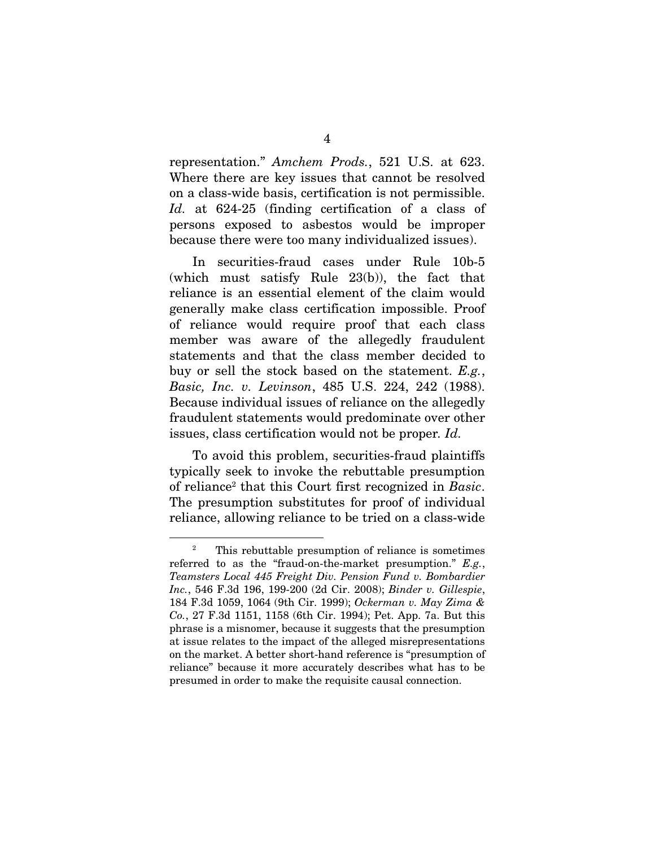representation." *Amchem Prods.*, 521 U.S. at 623. Where there are key issues that cannot be resolved on a class-wide basis, certification is not permissible. *Id.* at 624-25 (finding certification of a class of persons exposed to asbestos would be improper because there were too many individualized issues).

In securities-fraud cases under Rule 10b-5 (which must satisfy Rule 23(b)), the fact that reliance is an essential element of the claim would generally make class certification impossible. Proof of reliance would require proof that each class member was aware of the allegedly fraudulent statements and that the class member decided to buy or sell the stock based on the statement. *E.g.*, *Basic, Inc. v. Levinson*, 485 U.S. 224, 242 (1988). Because individual issues of reliance on the allegedly fraudulent statements would predominate over other issues, class certification would not be proper*. Id.* 

To avoid this problem, securities-fraud plaintiffs typically seek to invoke the rebuttable presumption of reliance2 that this Court first recognized in *Basic*. The presumption substitutes for proof of individual reliance, allowing reliance to be tried on a class-wide

<sup>2</sup> This rebuttable presumption of reliance is sometimes referred to as the "fraud-on-the-market presumption." *E.g.*, *Teamsters Local 445 Freight Div. Pension Fund v. Bombardier Inc.*, 546 F.3d 196, 199-200 (2d Cir. 2008); *Binder v. Gillespie*, 184 F.3d 1059, 1064 (9th Cir. 1999); *Ockerman v. May Zima & Co.*, 27 F.3d 1151, 1158 (6th Cir. 1994); Pet. App. 7a. But this phrase is a misnomer, because it suggests that the presumption at issue relates to the impact of the alleged misrepresentations on the market. A better short-hand reference is "presumption of reliance" because it more accurately describes what has to be presumed in order to make the requisite causal connection.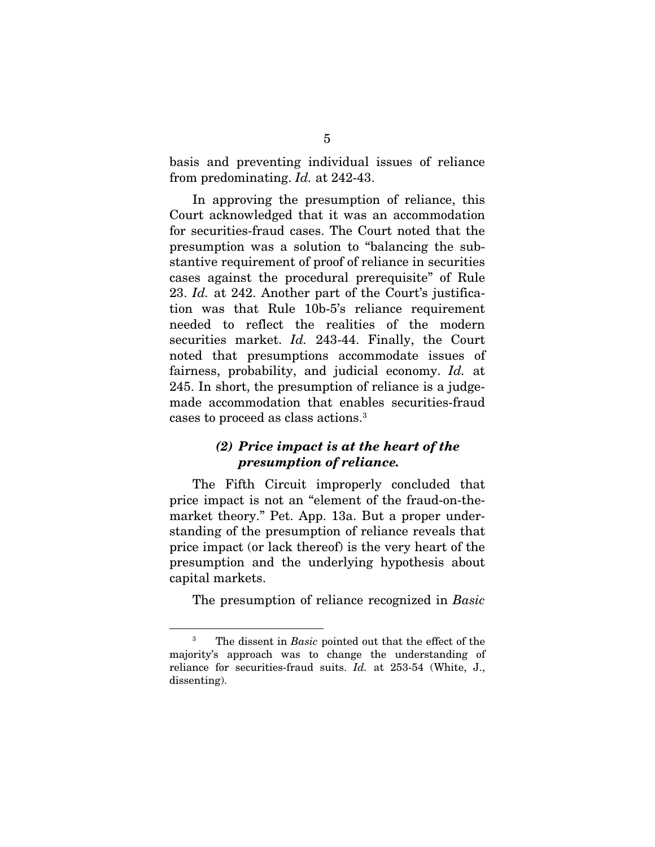basis and preventing individual issues of reliance from predominating. *Id.* at 242-43.

In approving the presumption of reliance, this Court acknowledged that it was an accommodation for securities-fraud cases. The Court noted that the presumption was a solution to "balancing the substantive requirement of proof of reliance in securities cases against the procedural prerequisite" of Rule 23. *Id.* at 242. Another part of the Court's justification was that Rule 10b-5's reliance requirement needed to reflect the realities of the modern securities market. *Id.* 243-44. Finally, the Court noted that presumptions accommodate issues of fairness, probability, and judicial economy. *Id.* at 245. In short, the presumption of reliance is a judgemade accommodation that enables securities-fraud cases to proceed as class actions.3

#### *(2) Price impact is at the heart of the presumption of reliance.*

The Fifth Circuit improperly concluded that price impact is not an "element of the fraud-on-themarket theory." Pet. App. 13a. But a proper understanding of the presumption of reliance reveals that price impact (or lack thereof) is the very heart of the presumption and the underlying hypothesis about capital markets.

The presumption of reliance recognized in *Basic* 

<sup>3</sup> The dissent in *Basic* pointed out that the effect of the majority's approach was to change the understanding of reliance for securities-fraud suits. *Id.* at 253-54 (White, J., dissenting).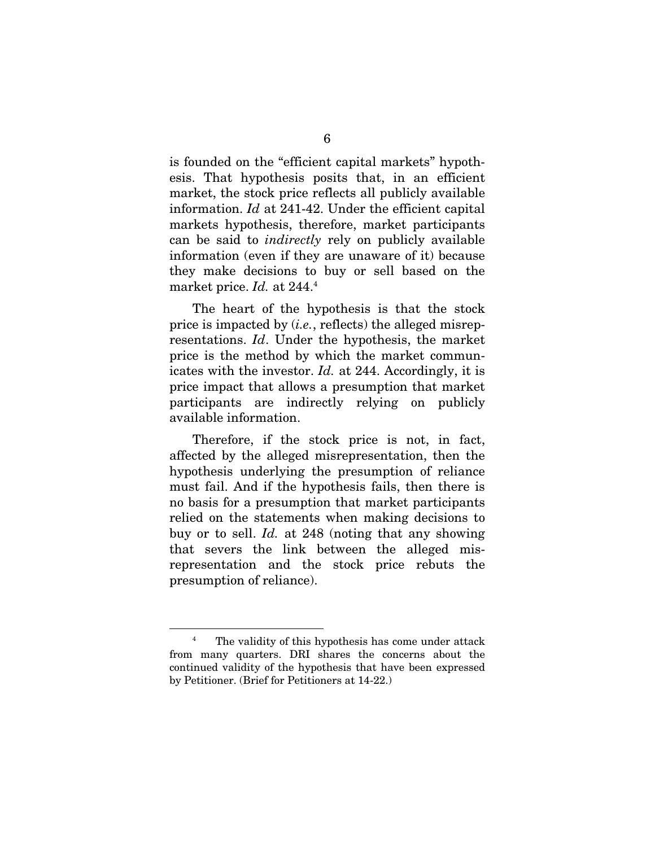is founded on the "efficient capital markets" hypothesis. That hypothesis posits that, in an efficient market, the stock price reflects all publicly available information. *Id* at 241-42. Under the efficient capital markets hypothesis, therefore, market participants can be said to *indirectly* rely on publicly available information (even if they are unaware of it) because they make decisions to buy or sell based on the market price. *Id.* at 244.4

The heart of the hypothesis is that the stock price is impacted by (*i.e.*, reflects) the alleged misrepresentations. *Id*. Under the hypothesis, the market price is the method by which the market communicates with the investor. *Id.* at 244. Accordingly, it is price impact that allows a presumption that market participants are indirectly relying on publicly available information.

Therefore, if the stock price is not, in fact, affected by the alleged misrepresentation, then the hypothesis underlying the presumption of reliance must fail. And if the hypothesis fails, then there is no basis for a presumption that market participants relied on the statements when making decisions to buy or to sell. *Id.* at 248 (noting that any showing that severs the link between the alleged misrepresentation and the stock price rebuts the presumption of reliance).

<sup>4</sup> The validity of this hypothesis has come under attack from many quarters. DRI shares the concerns about the continued validity of the hypothesis that have been expressed by Petitioner. (Brief for Petitioners at 14-22.)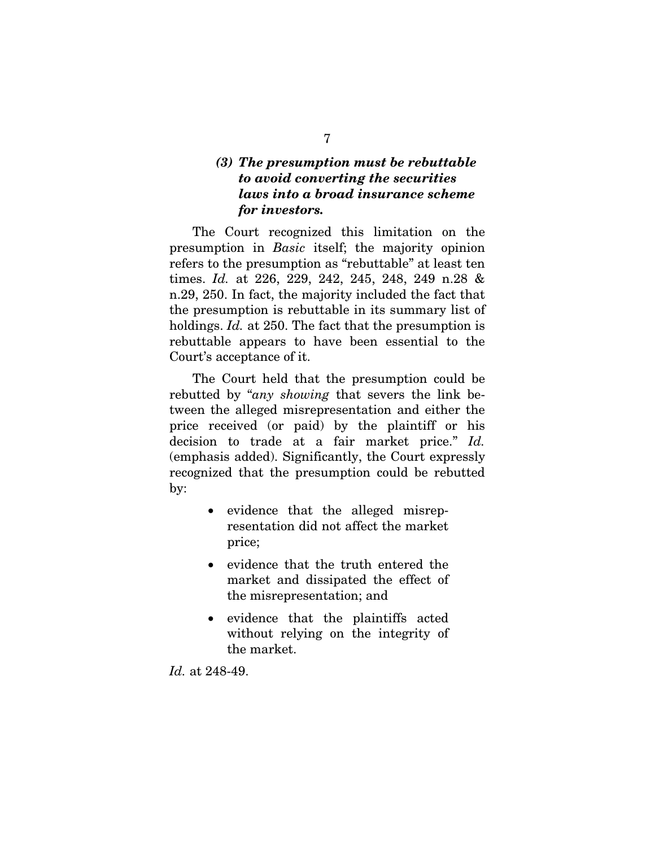#### *(3) The presumption must be rebuttable to avoid converting the securities laws into a broad insurance scheme for investors.*

The Court recognized this limitation on the presumption in *Basic* itself; the majority opinion refers to the presumption as "rebuttable" at least ten times. *Id.* at 226, 229, 242, 245, 248, 249 n.28 & n.29, 250. In fact, the majority included the fact that the presumption is rebuttable in its summary list of holdings. *Id.* at 250. The fact that the presumption is rebuttable appears to have been essential to the Court's acceptance of it.

The Court held that the presumption could be rebutted by "*any showing* that severs the link between the alleged misrepresentation and either the price received (or paid) by the plaintiff or his decision to trade at a fair market price." *Id.* (emphasis added). Significantly, the Court expressly recognized that the presumption could be rebutted by:

- evidence that the alleged misrepresentation did not affect the market price;
- evidence that the truth entered the market and dissipated the effect of the misrepresentation; and
- evidence that the plaintiffs acted without relying on the integrity of the market.

*Id.* at 248-49.

7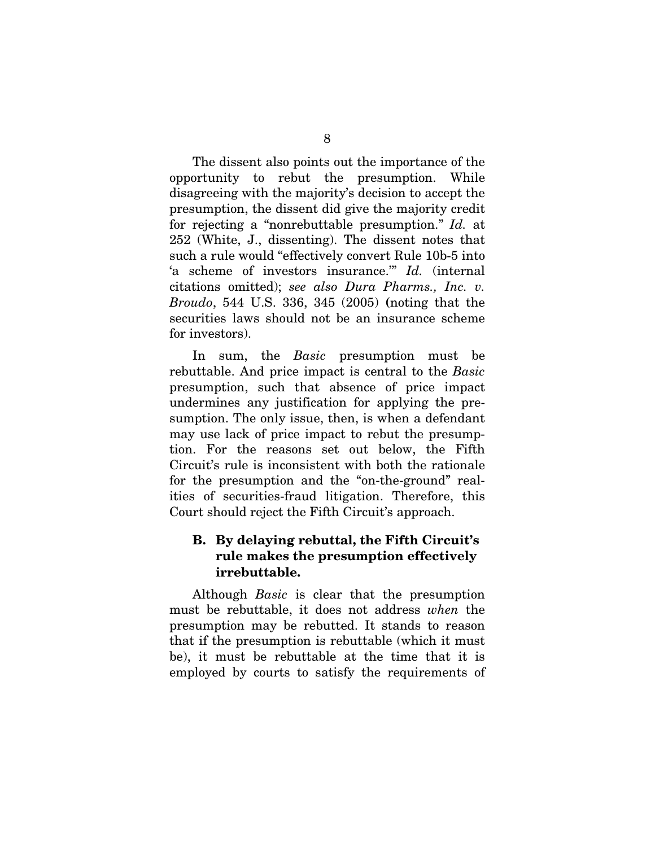The dissent also points out the importance of the opportunity to rebut the presumption. While disagreeing with the majority's decision to accept the presumption, the dissent did give the majority credit for rejecting a "nonrebuttable presumption." *Id.* at 252 (White, J., dissenting). The dissent notes that such a rule would "effectively convert Rule 10b-5 into 'a scheme of investors insurance.'" *Id.* (internal citations omitted); *see also Dura Pharms., Inc. v. Broudo*, 544 U.S. 336, 345 (2005) (noting that the securities laws should not be an insurance scheme for investors).

In sum, the *Basic* presumption must be rebuttable. And price impact is central to the *Basic*  presumption, such that absence of price impact undermines any justification for applying the presumption. The only issue, then, is when a defendant may use lack of price impact to rebut the presumption. For the reasons set out below, the Fifth Circuit's rule is inconsistent with both the rationale for the presumption and the "on-the-ground" realities of securities-fraud litigation. Therefore, this Court should reject the Fifth Circuit's approach.

## B. By delaying rebuttal, the Fifth Circuit's rule makes the presumption effectively irrebuttable.

Although *Basic* is clear that the presumption must be rebuttable, it does not address *when* the presumption may be rebutted. It stands to reason that if the presumption is rebuttable (which it must be), it must be rebuttable at the time that it is employed by courts to satisfy the requirements of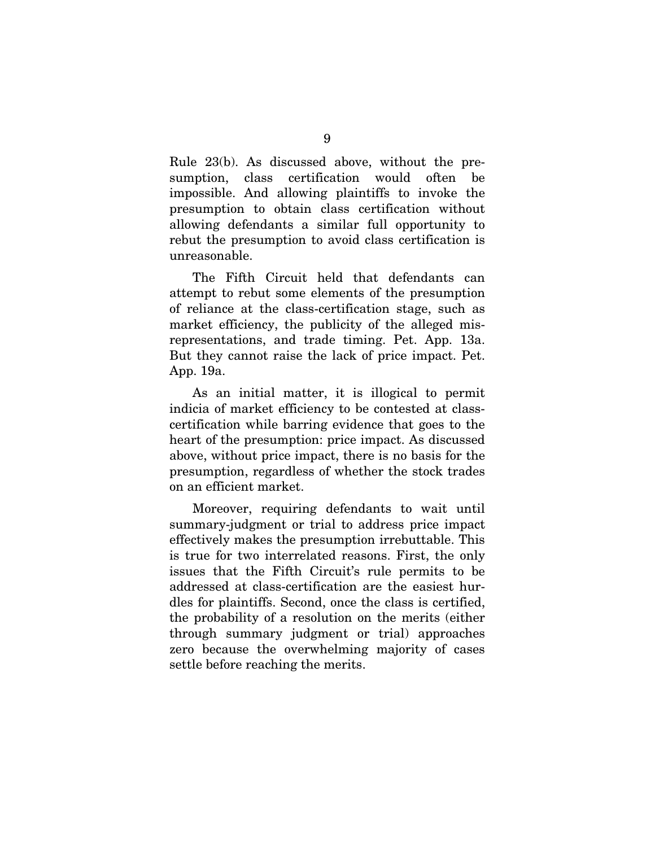Rule 23(b). As discussed above, without the presumption, class certification would often be impossible. And allowing plaintiffs to invoke the presumption to obtain class certification without allowing defendants a similar full opportunity to rebut the presumption to avoid class certification is unreasonable.

The Fifth Circuit held that defendants can attempt to rebut some elements of the presumption of reliance at the class-certification stage, such as market efficiency, the publicity of the alleged misrepresentations, and trade timing. Pet. App. 13a. But they cannot raise the lack of price impact. Pet. App. 19a.

As an initial matter, it is illogical to permit indicia of market efficiency to be contested at classcertification while barring evidence that goes to the heart of the presumption: price impact. As discussed above, without price impact, there is no basis for the presumption, regardless of whether the stock trades on an efficient market.

Moreover, requiring defendants to wait until summary-judgment or trial to address price impact effectively makes the presumption irrebuttable. This is true for two interrelated reasons. First, the only issues that the Fifth Circuit's rule permits to be addressed at class-certification are the easiest hurdles for plaintiffs. Second, once the class is certified, the probability of a resolution on the merits (either through summary judgment or trial) approaches zero because the overwhelming majority of cases settle before reaching the merits.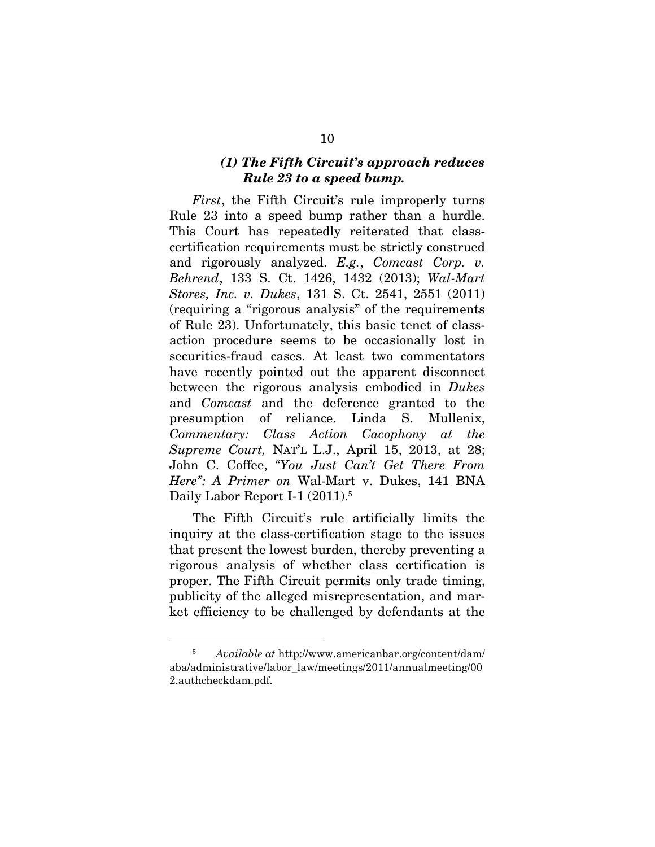#### *(1) The Fifth Circuit's approach reduces Rule 23 to a speed bump.*

*First*, the Fifth Circuit's rule improperly turns Rule 23 into a speed bump rather than a hurdle. This Court has repeatedly reiterated that classcertification requirements must be strictly construed and rigorously analyzed. *E.g.*, *Comcast Corp. v. Behrend*, 133 S. Ct. 1426, 1432 (2013); *Wal-Mart Stores, Inc. v. Dukes*, 131 S. Ct. 2541, 2551 (2011) (requiring a "rigorous analysis" of the requirements of Rule 23). Unfortunately, this basic tenet of classaction procedure seems to be occasionally lost in securities-fraud cases. At least two commentators have recently pointed out the apparent disconnect between the rigorous analysis embodied in *Dukes*  and *Comcast* and the deference granted to the presumption of reliance. Linda S. Mullenix, *Commentary: Class Action Cacophony at the Supreme Court,* NAT'L L.J., April 15, 2013, at 28; John C. Coffee, *"You Just Can't Get There From Here": A Primer on* Wal-Mart v. Dukes, 141 BNA Daily Labor Report I-1 (2011).<sup>5</sup>

The Fifth Circuit's rule artificially limits the inquiry at the class-certification stage to the issues that present the lowest burden, thereby preventing a rigorous analysis of whether class certification is proper. The Fifth Circuit permits only trade timing, publicity of the alleged misrepresentation, and market efficiency to be challenged by defendants at the

<sup>5</sup> *Available at* http://www.americanbar.org/content/dam/ aba/administrative/labor\_law/meetings/2011/annualmeeting/00 2.authcheckdam.pdf.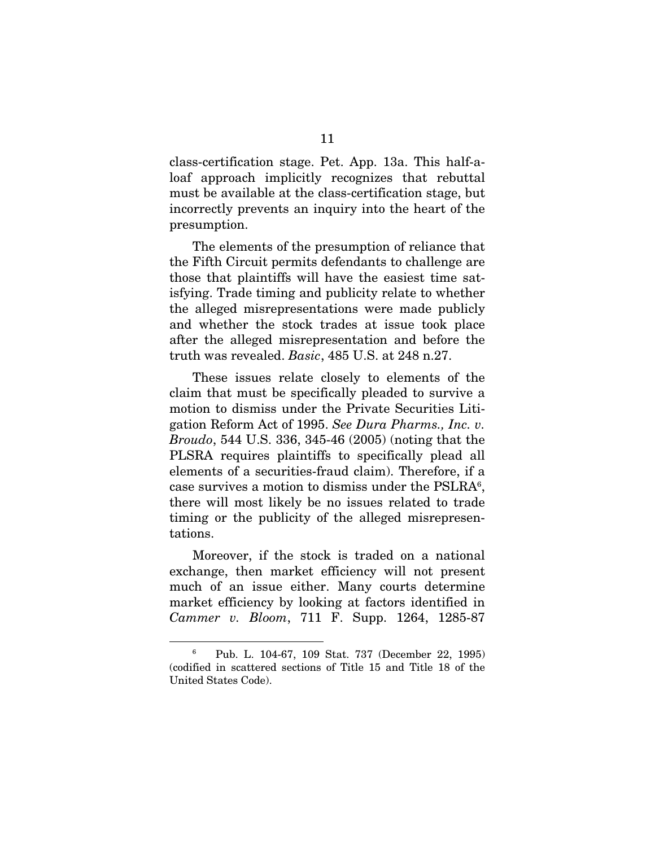class-certification stage. Pet. App. 13a. This half-aloaf approach implicitly recognizes that rebuttal must be available at the class-certification stage, but incorrectly prevents an inquiry into the heart of the presumption.

The elements of the presumption of reliance that the Fifth Circuit permits defendants to challenge are those that plaintiffs will have the easiest time satisfying. Trade timing and publicity relate to whether the alleged misrepresentations were made publicly and whether the stock trades at issue took place after the alleged misrepresentation and before the truth was revealed. *Basic*, 485 U.S. at 248 n.27.

These issues relate closely to elements of the claim that must be specifically pleaded to survive a motion to dismiss under the Private Securities Litigation Reform Act of 1995. *See Dura Pharms., Inc. v. Broudo*, 544 U.S. 336, 345-46 (2005) (noting that the PLSRA requires plaintiffs to specifically plead all elements of a securities-fraud claim). Therefore, if a case survives a motion to dismiss under the PSLRA<sup>6</sup>, there will most likely be no issues related to trade timing or the publicity of the alleged misrepresentations.

Moreover, if the stock is traded on a national exchange, then market efficiency will not present much of an issue either. Many courts determine market efficiency by looking at factors identified in *Cammer v. Bloom*, 711 F. Supp. 1264, 1285-87

<sup>6</sup> Pub. L. 104-67, 109 Stat. 737 (December 22, 1995) (codified in scattered sections of Title 15 and Title 18 of the United States Code).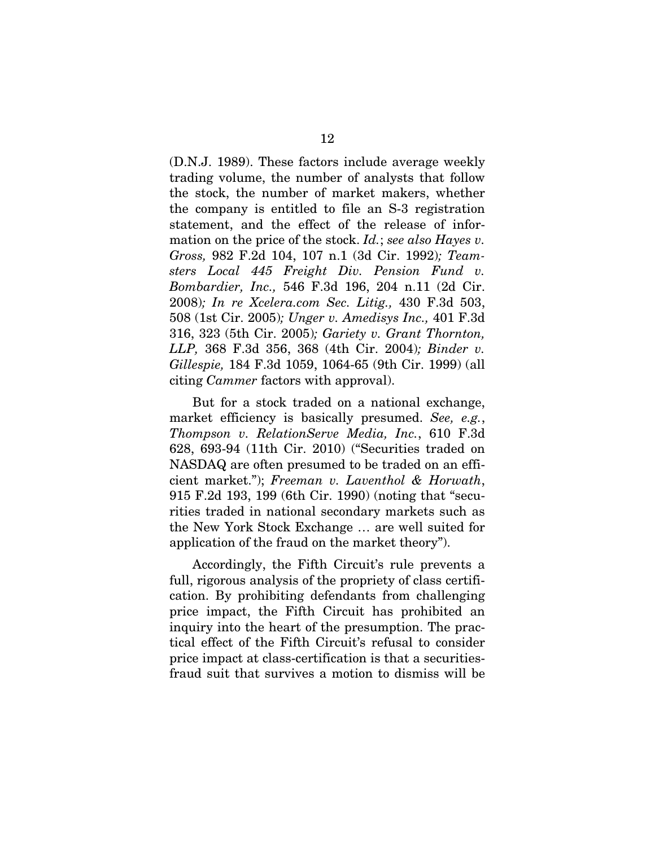(D.N.J. 1989). These factors include average weekly trading volume, the number of analysts that follow the stock, the number of market makers, whether the company is entitled to file an S-3 registration statement, and the effect of the release of information on the price of the stock. *Id.*; *see also Hayes v. Gross,* 982 F.2d 104, 107 n.1 (3d Cir. 1992)*; Teamsters Local 445 Freight Div. Pension Fund v. Bombardier, Inc.,* 546 F.3d 196, 204 n.11 (2d Cir. 2008)*; In re Xcelera.com Sec. Litig.,* 430 F.3d 503, 508 (1st Cir. 2005)*; Unger v. Amedisys Inc.,* 401 F.3d 316, 323 (5th Cir. 2005)*; Gariety v. Grant Thornton, LLP,* 368 F.3d 356, 368 (4th Cir. 2004)*; Binder v. Gillespie,* 184 F.3d 1059, 1064-65 (9th Cir. 1999) (all citing *Cammer* factors with approval).

But for a stock traded on a national exchange, market efficiency is basically presumed. *See, e.g.*, *Thompson v. RelationServe Media, Inc.*, 610 F.3d 628, 693-94 (11th Cir. 2010) ("Securities traded on NASDAQ are often presumed to be traded on an efficient market."); *Freeman v. Laventhol & Horwath*, 915 F.2d 193, 199 (6th Cir. 1990) (noting that "securities traded in national secondary markets such as the New York Stock Exchange … are well suited for application of the fraud on the market theory").

Accordingly, the Fifth Circuit's rule prevents a full, rigorous analysis of the propriety of class certification. By prohibiting defendants from challenging price impact, the Fifth Circuit has prohibited an inquiry into the heart of the presumption. The practical effect of the Fifth Circuit's refusal to consider price impact at class-certification is that a securitiesfraud suit that survives a motion to dismiss will be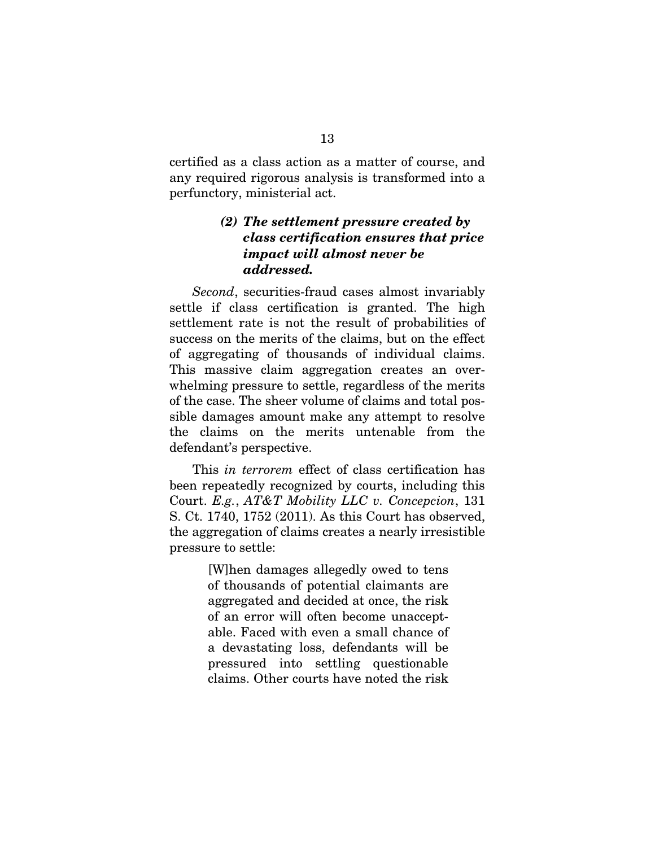certified as a class action as a matter of course, and any required rigorous analysis is transformed into a perfunctory, ministerial act.

## *(2) The settlement pressure created by class certification ensures that price impact will almost never be addressed.*

*Second*, securities-fraud cases almost invariably settle if class certification is granted. The high settlement rate is not the result of probabilities of success on the merits of the claims, but on the effect of aggregating of thousands of individual claims. This massive claim aggregation creates an overwhelming pressure to settle, regardless of the merits of the case. The sheer volume of claims and total possible damages amount make any attempt to resolve the claims on the merits untenable from the defendant's perspective.

This *in terrorem* effect of class certification has been repeatedly recognized by courts, including this Court. *E.g.*, *AT&T Mobility LLC v. Concepcion*, 131 S. Ct. 1740, 1752 (2011). As this Court has observed, the aggregation of claims creates a nearly irresistible pressure to settle:

> [W]hen damages allegedly owed to tens of thousands of potential claimants are aggregated and decided at once, the risk of an error will often become unacceptable. Faced with even a small chance of a devastating loss, defendants will be pressured into settling questionable claims. Other courts have noted the risk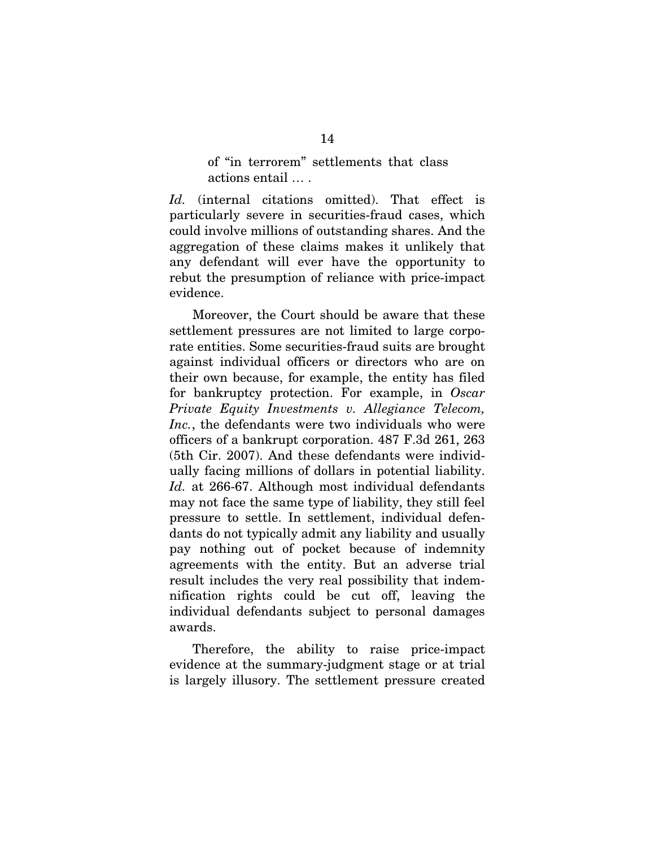of "in terrorem" settlements that class actions entail … .

*Id.* (internal citations omitted). That effect is particularly severe in securities-fraud cases, which could involve millions of outstanding shares. And the aggregation of these claims makes it unlikely that any defendant will ever have the opportunity to rebut the presumption of reliance with price-impact evidence.

Moreover, the Court should be aware that these settlement pressures are not limited to large corporate entities. Some securities-fraud suits are brought against individual officers or directors who are on their own because, for example, the entity has filed for bankruptcy protection. For example, in *Oscar Private Equity Investments v. Allegiance Telecom, Inc.*, the defendants were two individuals who were officers of a bankrupt corporation. 487 F.3d 261, 263 (5th Cir. 2007). And these defendants were individually facing millions of dollars in potential liability. *Id.* at 266-67. Although most individual defendants may not face the same type of liability, they still feel pressure to settle. In settlement, individual defendants do not typically admit any liability and usually pay nothing out of pocket because of indemnity agreements with the entity. But an adverse trial result includes the very real possibility that indemnification rights could be cut off, leaving the individual defendants subject to personal damages awards.

Therefore, the ability to raise price-impact evidence at the summary-judgment stage or at trial is largely illusory. The settlement pressure created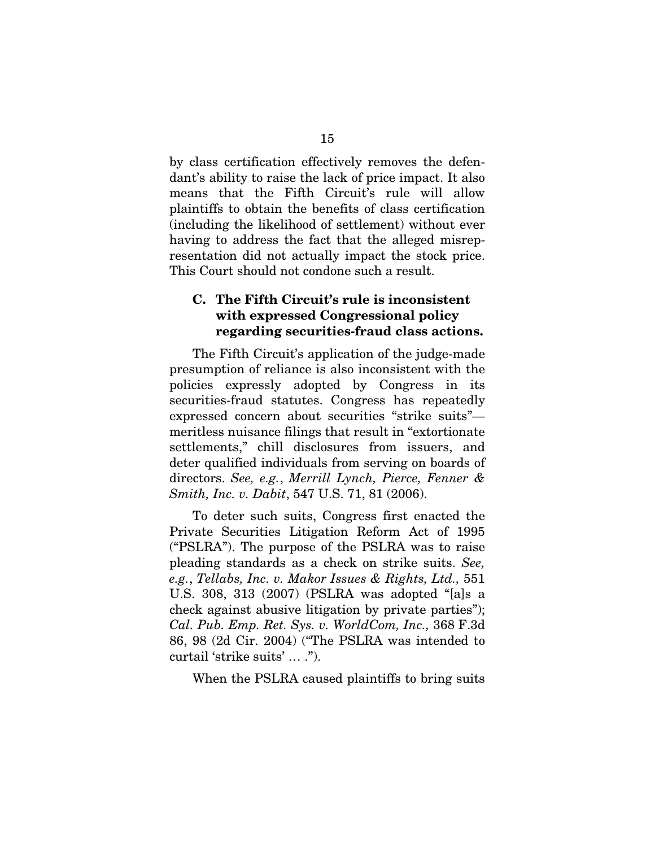by class certification effectively removes the defendant's ability to raise the lack of price impact. It also means that the Fifth Circuit's rule will allow plaintiffs to obtain the benefits of class certification (including the likelihood of settlement) without ever having to address the fact that the alleged misrepresentation did not actually impact the stock price. This Court should not condone such a result.

### C. The Fifth Circuit's rule is inconsistent with expressed Congressional policy regarding securities-fraud class actions.

The Fifth Circuit's application of the judge-made presumption of reliance is also inconsistent with the policies expressly adopted by Congress in its securities-fraud statutes. Congress has repeatedly expressed concern about securities "strike suits" meritless nuisance filings that result in "extortionate settlements," chill disclosures from issuers, and deter qualified individuals from serving on boards of directors. *See, e.g.*, *Merrill Lynch, Pierce, Fenner & Smith, Inc. v. Dabit*, 547 U.S. 71, 81 (2006).

To deter such suits, Congress first enacted the Private Securities Litigation Reform Act of 1995 ("PSLRA"). The purpose of the PSLRA was to raise pleading standards as a check on strike suits. *See, e.g.*, *Tellabs, Inc. v. Makor Issues & Rights, Ltd.,* 551 U.S. 308, 313 (2007) (PSLRA was adopted "[a]s a check against abusive litigation by private parties"); *Cal. Pub. Emp. Ret. Sys. v. WorldCom, Inc.,* 368 F.3d 86, 98 (2d Cir. 2004) ("The PSLRA was intended to curtail 'strike suits' … .").

When the PSLRA caused plaintiffs to bring suits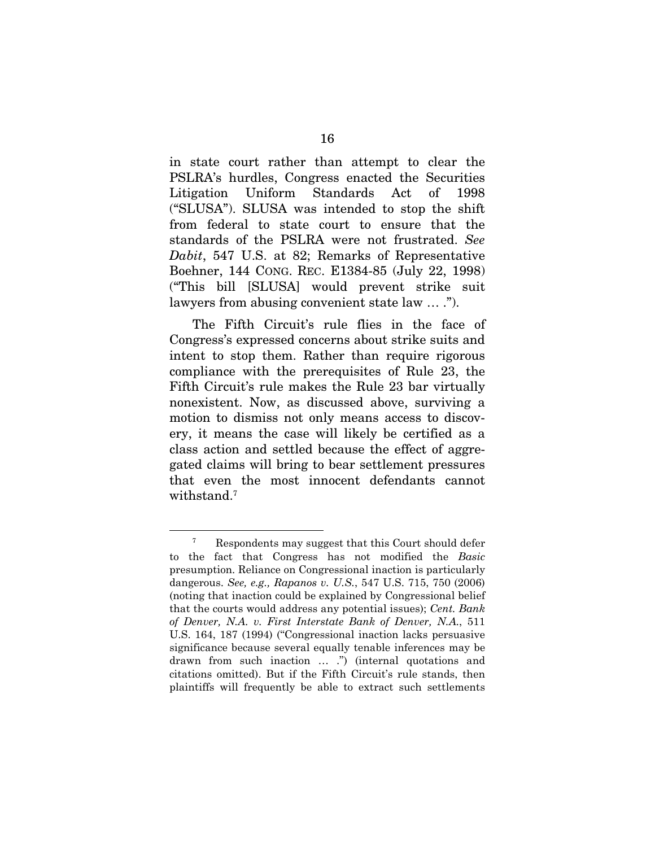in state court rather than attempt to clear the PSLRA's hurdles, Congress enacted the Securities Litigation Uniform Standards Act of 1998 ("SLUSA"). SLUSA was intended to stop the shift from federal to state court to ensure that the standards of the PSLRA were not frustrated. *See Dabit*, 547 U.S. at 82; Remarks of Representative Boehner, 144 CONG. REC. E1384-85 (July 22, 1998) ("This bill [SLUSA] would prevent strike suit lawyers from abusing convenient state law … .").

The Fifth Circuit's rule flies in the face of Congress's expressed concerns about strike suits and intent to stop them. Rather than require rigorous compliance with the prerequisites of Rule 23, the Fifth Circuit's rule makes the Rule 23 bar virtually nonexistent. Now, as discussed above, surviving a motion to dismiss not only means access to discovery, it means the case will likely be certified as a class action and settled because the effect of aggregated claims will bring to bear settlement pressures that even the most innocent defendants cannot withstand.<sup>7</sup>

<sup>7</sup> Respondents may suggest that this Court should defer to the fact that Congress has not modified the *Basic*  presumption. Reliance on Congressional inaction is particularly dangerous. *See, e.g., Rapanos v. U.S.*, 547 U.S. 715, 750 (2006) (noting that inaction could be explained by Congressional belief that the courts would address any potential issues); *Cent. Bank of Denver, N.A. v. First Interstate Bank of Denver, N.A.*, 511 U.S. 164, 187 (1994) ("Congressional inaction lacks persuasive significance because several equally tenable inferences may be drawn from such inaction … .") (internal quotations and citations omitted). But if the Fifth Circuit's rule stands, then plaintiffs will frequently be able to extract such settlements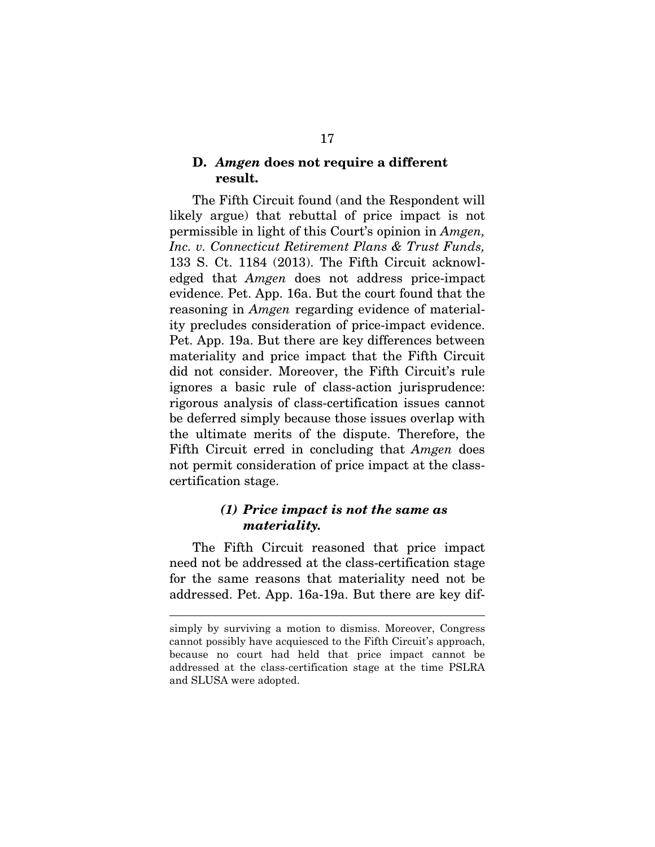#### D. *Amgen* does not require a different result.

The Fifth Circuit found (and the Respondent will likely argue) that rebuttal of price impact is not permissible in light of this Court's opinion in *Amgen, Inc. v. Connecticut Retirement Plans & Trust Funds,*  133 S. Ct. 1184 (2013). The Fifth Circuit acknowledged that *Amgen* does not address price-impact evidence. Pet. App. 16a. But the court found that the reasoning in *Amgen* regarding evidence of materiality precludes consideration of price-impact evidence. Pet. App. 19a. But there are key differences between materiality and price impact that the Fifth Circuit did not consider. Moreover, the Fifth Circuit's rule ignores a basic rule of class-action jurisprudence: rigorous analysis of class-certification issues cannot be deferred simply because those issues overlap with the ultimate merits of the dispute. Therefore, the Fifth Circuit erred in concluding that *Amgen* does not permit consideration of price impact at the classcertification stage.

#### *(1) Price impact is not the same as materiality.*

The Fifth Circuit reasoned that price impact need not be addressed at the class-certification stage for the same reasons that materiality need not be addressed. Pet. App. 16a-19a. But there are key dif-

simply by surviving a motion to dismiss. Moreover, Congress cannot possibly have acquiesced to the Fifth Circuit's approach, because no court had held that price impact cannot be addressed at the class-certification stage at the time PSLRA and SLUSA were adopted.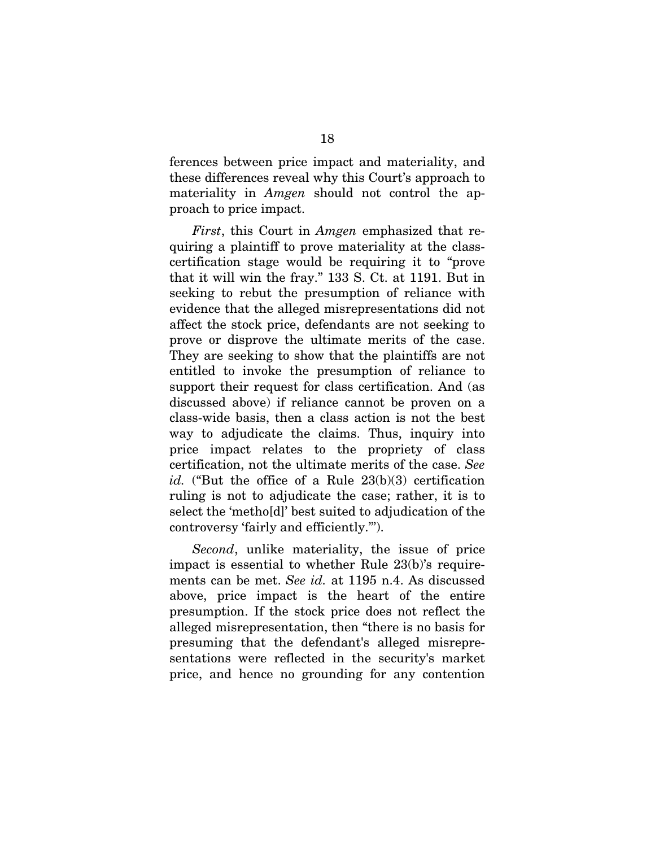ferences between price impact and materiality, and these differences reveal why this Court's approach to materiality in *Amgen* should not control the approach to price impact.

*First*, this Court in *Amgen* emphasized that requiring a plaintiff to prove materiality at the classcertification stage would be requiring it to "prove that it will win the fray." 133 S. Ct. at 1191. But in seeking to rebut the presumption of reliance with evidence that the alleged misrepresentations did not affect the stock price, defendants are not seeking to prove or disprove the ultimate merits of the case. They are seeking to show that the plaintiffs are not entitled to invoke the presumption of reliance to support their request for class certification. And (as discussed above) if reliance cannot be proven on a class-wide basis, then a class action is not the best way to adjudicate the claims. Thus, inquiry into price impact relates to the propriety of class certification, not the ultimate merits of the case. *See*  id. ("But the office of a Rule 23(b)(3) certification ruling is not to adjudicate the case; rather, it is to select the 'metho[d]' best suited to adjudication of the controversy 'fairly and efficiently.'").

*Second*, unlike materiality, the issue of price impact is essential to whether Rule 23(b)'s requirements can be met. *See id.* at 1195 n.4. As discussed above, price impact is the heart of the entire presumption. If the stock price does not reflect the alleged misrepresentation, then "there is no basis for presuming that the defendant's alleged misrepresentations were reflected in the security's market price, and hence no grounding for any contention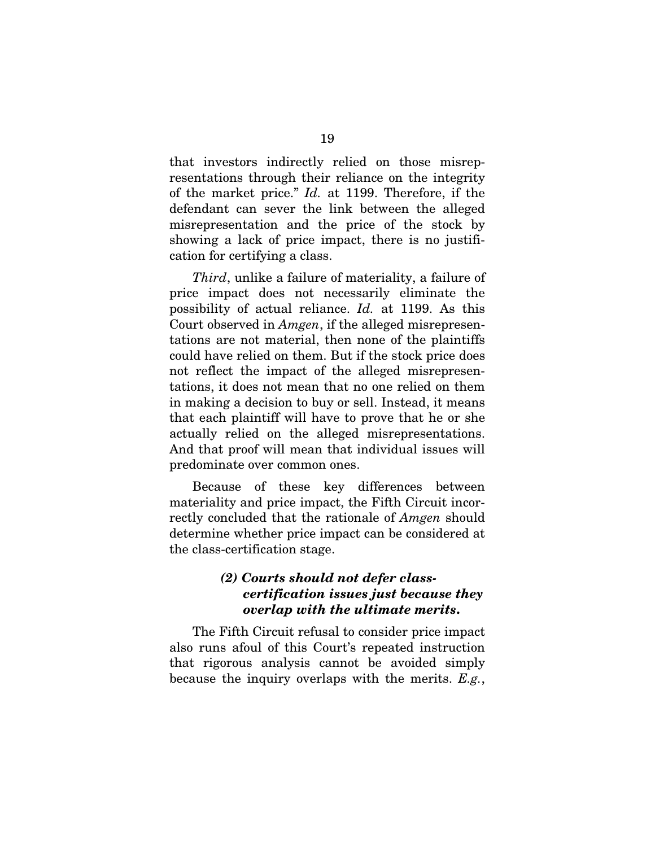that investors indirectly relied on those misrepresentations through their reliance on the integrity of the market price." *Id.* at 1199. Therefore, if the defendant can sever the link between the alleged misrepresentation and the price of the stock by showing a lack of price impact, there is no justification for certifying a class.

*Third*, unlike a failure of materiality, a failure of price impact does not necessarily eliminate the possibility of actual reliance. *Id.* at 1199. As this Court observed in *Amgen*, if the alleged misrepresentations are not material, then none of the plaintiffs could have relied on them. But if the stock price does not reflect the impact of the alleged misrepresentations, it does not mean that no one relied on them in making a decision to buy or sell. Instead, it means that each plaintiff will have to prove that he or she actually relied on the alleged misrepresentations. And that proof will mean that individual issues will predominate over common ones.

Because of these key differences between materiality and price impact, the Fifth Circuit incorrectly concluded that the rationale of *Amgen* should determine whether price impact can be considered at the class-certification stage.

### *(2) Courts should not defer classcertification issues just because they overlap with the ultimate merits*.

The Fifth Circuit refusal to consider price impact also runs afoul of this Court's repeated instruction that rigorous analysis cannot be avoided simply because the inquiry overlaps with the merits. *E.g.*,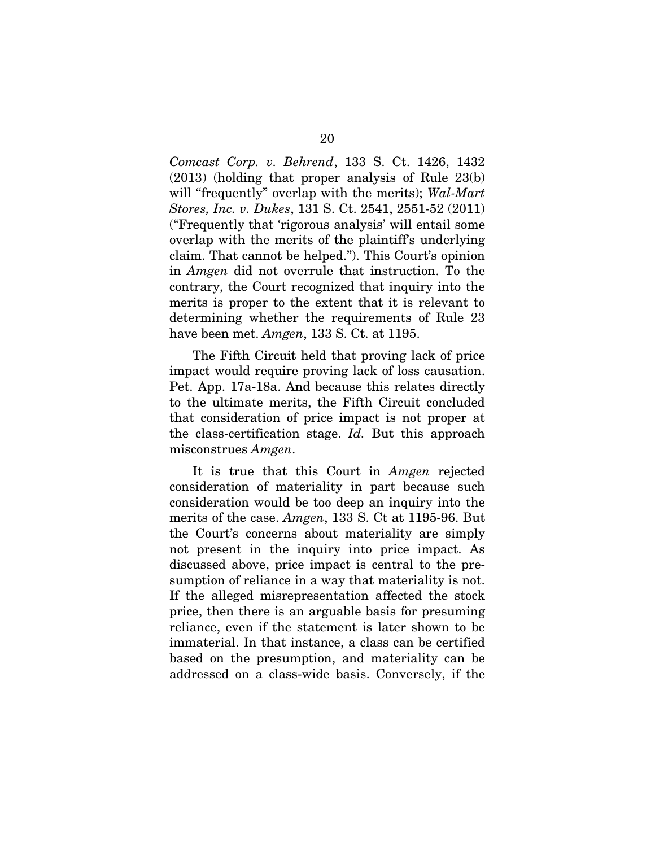*Comcast Corp. v. Behrend*, 133 S. Ct. 1426, 1432 (2013) (holding that proper analysis of Rule 23(b) will "frequently" overlap with the merits); *Wal-Mart Stores, Inc. v. Dukes*, 131 S. Ct. 2541, 2551-52 (2011) ("Frequently that 'rigorous analysis' will entail some overlap with the merits of the plaintiff's underlying claim. That cannot be helped."). This Court's opinion in *Amgen* did not overrule that instruction. To the contrary, the Court recognized that inquiry into the merits is proper to the extent that it is relevant to determining whether the requirements of Rule 23 have been met. *Amgen*, 133 S. Ct. at 1195.

The Fifth Circuit held that proving lack of price impact would require proving lack of loss causation. Pet. App. 17a-18a. And because this relates directly to the ultimate merits, the Fifth Circuit concluded that consideration of price impact is not proper at the class-certification stage. *Id.* But this approach misconstrues *Amgen*.

It is true that this Court in *Amgen* rejected consideration of materiality in part because such consideration would be too deep an inquiry into the merits of the case. *Amgen*, 133 S. Ct at 1195-96. But the Court's concerns about materiality are simply not present in the inquiry into price impact. As discussed above, price impact is central to the presumption of reliance in a way that materiality is not. If the alleged misrepresentation affected the stock price, then there is an arguable basis for presuming reliance, even if the statement is later shown to be immaterial. In that instance, a class can be certified based on the presumption, and materiality can be addressed on a class-wide basis. Conversely, if the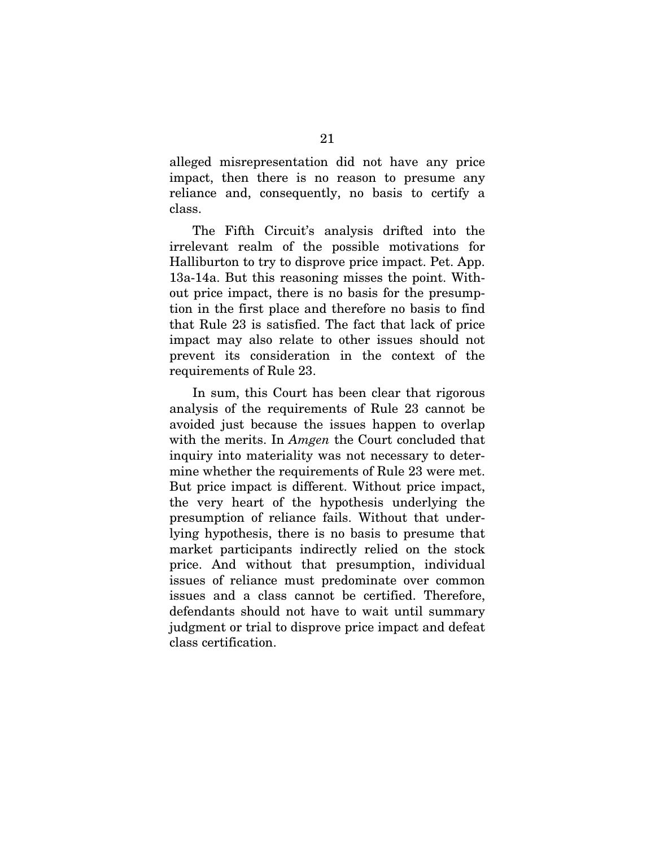alleged misrepresentation did not have any price impact, then there is no reason to presume any reliance and, consequently, no basis to certify a class.

The Fifth Circuit's analysis drifted into the irrelevant realm of the possible motivations for Halliburton to try to disprove price impact. Pet. App. 13a-14a. But this reasoning misses the point. Without price impact, there is no basis for the presumption in the first place and therefore no basis to find that Rule 23 is satisfied. The fact that lack of price impact may also relate to other issues should not prevent its consideration in the context of the requirements of Rule 23.

In sum, this Court has been clear that rigorous analysis of the requirements of Rule 23 cannot be avoided just because the issues happen to overlap with the merits. In *Amgen* the Court concluded that inquiry into materiality was not necessary to determine whether the requirements of Rule 23 were met. But price impact is different. Without price impact, the very heart of the hypothesis underlying the presumption of reliance fails. Without that underlying hypothesis, there is no basis to presume that market participants indirectly relied on the stock price. And without that presumption, individual issues of reliance must predominate over common issues and a class cannot be certified. Therefore, defendants should not have to wait until summary judgment or trial to disprove price impact and defeat class certification.